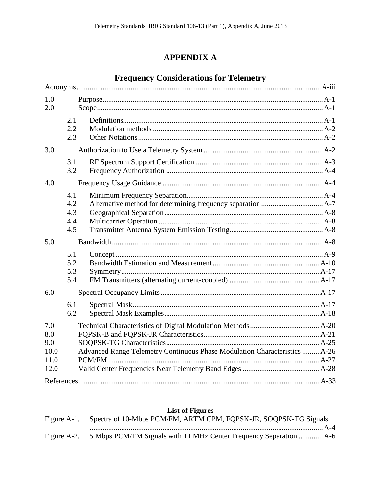# **APPENDIX A**

# **Frequency Considerations for Telemetry**

| 1.0  |     |                                                                            |  |  |
|------|-----|----------------------------------------------------------------------------|--|--|
| 2.0  |     |                                                                            |  |  |
|      | 2.1 |                                                                            |  |  |
|      | 2.2 |                                                                            |  |  |
|      | 2.3 |                                                                            |  |  |
| 3.0  |     |                                                                            |  |  |
|      | 3.1 |                                                                            |  |  |
|      | 3.2 |                                                                            |  |  |
| 4.0  |     |                                                                            |  |  |
|      | 4.1 |                                                                            |  |  |
|      | 4.2 |                                                                            |  |  |
|      | 4.3 |                                                                            |  |  |
|      | 4.4 |                                                                            |  |  |
|      | 4.5 |                                                                            |  |  |
| 5.0  |     |                                                                            |  |  |
|      | 5.1 |                                                                            |  |  |
|      | 5.2 |                                                                            |  |  |
|      | 5.3 |                                                                            |  |  |
|      | 5.4 |                                                                            |  |  |
| 6.0  |     |                                                                            |  |  |
|      | 6.1 |                                                                            |  |  |
|      | 6.2 |                                                                            |  |  |
| 7.0  |     |                                                                            |  |  |
| 8.0  |     |                                                                            |  |  |
| 9.0  |     |                                                                            |  |  |
| 10.0 |     | Advanced Range Telemetry Continuous Phase Modulation Characteristics  A-26 |  |  |
| 11.0 |     |                                                                            |  |  |
| 12.0 |     |                                                                            |  |  |
|      |     |                                                                            |  |  |

# **List of Figures**

| Figure A-1. | Spectra of 10-Mbps PCM/FM, ARTM CPM, FQPSK-JR, SOQPSK-TG Signals               |
|-------------|--------------------------------------------------------------------------------|
|             |                                                                                |
|             | Figure A-2. 5 Mbps PCM/FM Signals with 11 MHz Center Frequency Separation  A-6 |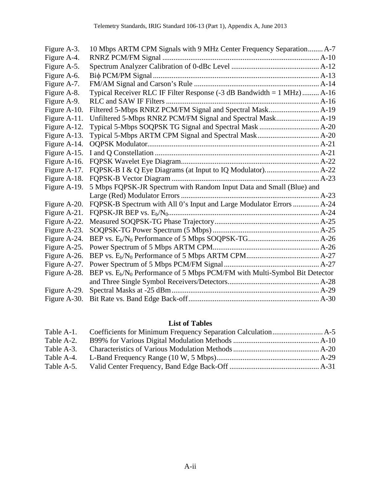| Figure A-3.  | 10 Mbps ARTM CPM Signals with 9 MHz Center Frequency Separation A-7           |  |
|--------------|-------------------------------------------------------------------------------|--|
| Figure A-4.  |                                                                               |  |
| Figure A-5.  |                                                                               |  |
| Figure A-6.  |                                                                               |  |
| Figure A-7.  |                                                                               |  |
| Figure A-8.  | Typical Receiver RLC IF Filter Response (-3 dB Bandwidth = 1 MHz)  A-16       |  |
| Figure A-9.  |                                                                               |  |
| Figure A-10. |                                                                               |  |
| Figure A-11. |                                                                               |  |
| Figure A-12. |                                                                               |  |
| Figure A-13. |                                                                               |  |
| Figure A-14. |                                                                               |  |
| Figure A-15. |                                                                               |  |
| Figure A-16. |                                                                               |  |
| Figure A-17. |                                                                               |  |
| Figure A-18. |                                                                               |  |
| Figure A-19. | 5 Mbps FQPSK-JR Spectrum with Random Input Data and Small (Blue) and          |  |
|              |                                                                               |  |
| Figure A-20. | FQPSK-B Spectrum with All 0's Input and Large Modulator Errors  A-24          |  |
| Figure A-21. |                                                                               |  |
| Figure A-22. |                                                                               |  |
| Figure A-23. |                                                                               |  |
| Figure A-24. |                                                                               |  |
| Figure A-25. |                                                                               |  |
| Figure A-26. |                                                                               |  |
| Figure A-27. |                                                                               |  |
| Figure A-28. | BEP vs. $E_b/N_0$ Performance of 5 Mbps PCM/FM with Multi-Symbol Bit Detector |  |
|              |                                                                               |  |
| Figure A-29. |                                                                               |  |
| Figure A-30. |                                                                               |  |

# **List of Tables**

| Table A-2. |  |
|------------|--|
|            |  |
|            |  |
|            |  |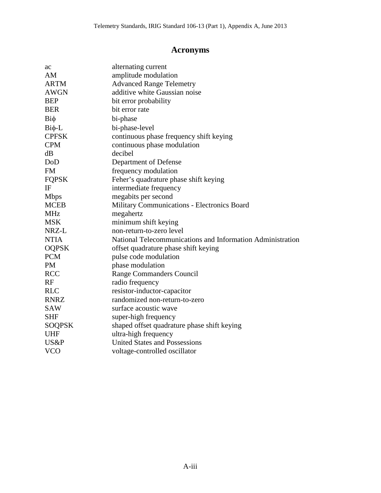# <span id="page-2-0"></span>**Acronyms**

| ac            | alternating current                                        |
|---------------|------------------------------------------------------------|
| AM            | amplitude modulation                                       |
| <b>ARTM</b>   | <b>Advanced Range Telemetry</b>                            |
| <b>AWGN</b>   | additive white Gaussian noise                              |
| <b>BEP</b>    | bit error probability                                      |
| <b>BER</b>    | bit error rate                                             |
| $Bi\phi$      | bi-phase                                                   |
| $Bi\phi$ -L   | bi-phase-level                                             |
| <b>CPFSK</b>  | continuous phase frequency shift keying                    |
| <b>CPM</b>    | continuous phase modulation                                |
| dB            | decibel                                                    |
| DoD           | Department of Defense                                      |
| <b>FM</b>     | frequency modulation                                       |
| <b>FQPSK</b>  | Feher's quadrature phase shift keying                      |
| IF            | intermediate frequency                                     |
| <b>Mbps</b>   | megabits per second                                        |
| <b>MCEB</b>   | Military Communications - Electronics Board                |
| <b>MHz</b>    | megahertz                                                  |
| <b>MSK</b>    | minimum shift keying                                       |
| NRZ-L         | non-return-to-zero level                                   |
| <b>NTIA</b>   | National Telecommunications and Information Administration |
| <b>OQPSK</b>  | offset quadrature phase shift keying                       |
| <b>PCM</b>    | pulse code modulation                                      |
| <b>PM</b>     | phase modulation                                           |
| <b>RCC</b>    | Range Commanders Council                                   |
| RF            | radio frequency                                            |
| <b>RLC</b>    | resistor-inductor-capacitor                                |
| <b>RNRZ</b>   | randomized non-return-to-zero                              |
| <b>SAW</b>    | surface acoustic wave                                      |
| <b>SHF</b>    | super-high frequency                                       |
| <b>SOQPSK</b> | shaped offset quadrature phase shift keying                |
| <b>UHF</b>    | ultra-high frequency                                       |
| US&P          | <b>United States and Possessions</b>                       |
| <b>VCO</b>    | voltage-controlled oscillator                              |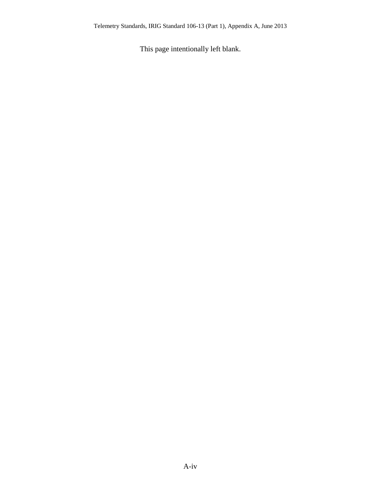This page intentionally left blank.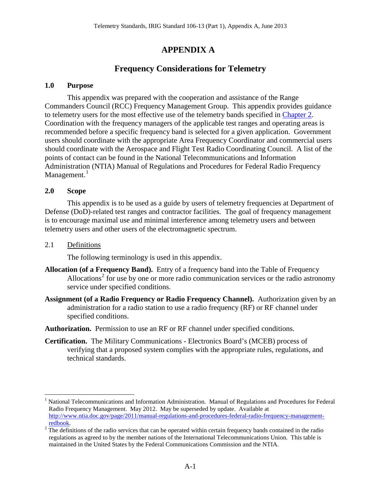# **APPENDIX A**

# **Frequency Considerations for Telemetry**

#### <span id="page-4-0"></span>**1.0 Purpose**

This appendix was prepared with the cooperation and assistance of the Range Commanders Council (RCC) Frequency Management Group. This appendix provides guidance to telemetry users for the most effective use of the telemetry bands specified in [Chapter 2.](http://www.wsmr.army.mil/RCCsite/Documents/106-13_Telemetry_Standards/chapter2.pdf) Coordination with the frequency managers of the applicable test ranges and operating areas is recommended before a specific frequency band is selected for a given application. Government users should coordinate with the appropriate Area Frequency Coordinator and commercial users should coordinate with the Aerospace and Flight Test Radio Coordinating Council. A list of the points of contact can be found in the National Telecommunications and Information Administration (NTIA) Manual of Regulations and Procedures for Federal Radio Frequency Management. $<sup>1</sup>$  $<sup>1</sup>$  $<sup>1</sup>$ </sup>

#### <span id="page-4-1"></span>**2.0 Scope**

This appendix is to be used as a guide by users of telemetry frequencies at Department of Defense (DoD)-related test ranges and contractor facilities. The goal of frequency management is to encourage maximal use and minimal interference among telemetry users and between telemetry users and other users of the electromagnetic spectrum.

#### <span id="page-4-2"></span>2.1 Definitions

The following terminology is used in this appendix.

- **Allocation (of a Frequency Band).** Entry of a frequency band into the Table of Frequency Allocations<sup>[2](#page-4-4)</sup> for use by one or more radio communication services or the radio astronomy service under specified conditions.
- **Assignment (of a Radio Frequency or Radio Frequency Channel).** Authorization given by an administration for a radio station to use a radio frequency (RF) or RF channel under specified conditions.

**Authorization.** Permission to use an RF or RF channel under specified conditions.

**Certification.** The Military Communications - Electronics Board's (MCEB) process of verifying that a proposed system complies with the appropriate rules, regulations, and technical standards.

<span id="page-4-3"></span> <sup>1</sup> National Telecommunications and Information Administration. Manual of Regulations and Procedures for Federal Radio Frequency Management. May 2012. May be superseded by update. Available at [http://www.ntia.doc.gov/page/2011/manual-regulations-and-procedures-federal-radio-frequency-management-](http://www.ntia.doc.gov/page/2011/manual-regulations-and-procedures-federal-radio-frequency-management-redbook)

<span id="page-4-4"></span> $\frac{\text{redbook}}{\text{The definitions of the radio services that can be operated within certain frequency bands contained in the radio}}$ regulations as agreed to by the member nations of the International Telecommunications Union. This table is maintained in the United States by the Federal Communications Commission and the NTIA.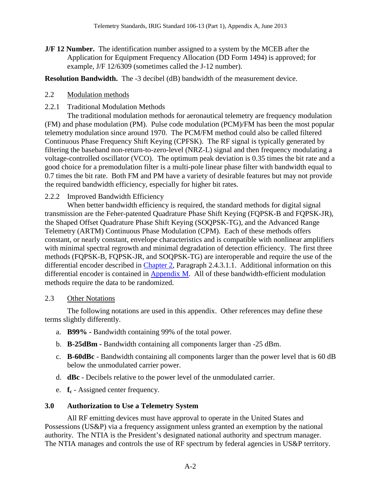**J/F 12 Number.** The identification number assigned to a system by the MCEB after the Application for Equipment Frequency Allocation (DD Form 1494) is approved; for example, J/F 12/6309 (sometimes called the J-12 number).

**Resolution Bandwidth.** The -3 decibel (dB) bandwidth of the measurement device.

## <span id="page-5-0"></span>2.2 Modulation methods

2.2.1 Traditional Modulation Methods

The traditional modulation methods for aeronautical telemetry are frequency modulation (FM) and phase modulation (PM). Pulse code modulation (PCM)/FM has been the most popular telemetry modulation since around 1970. The PCM/FM method could also be called filtered Continuous Phase Frequency Shift Keying (CPFSK). The RF signal is typically generated by filtering the baseband non-return-to-zero-level (NRZ-L) signal and then frequency modulating a voltage-controlled oscillator (VCO). The optimum peak deviation is 0.35 times the bit rate and a good choice for a premodulation filter is a multi-pole linear phase filter with bandwidth equal to 0.7 times the bit rate. Both FM and PM have a variety of desirable features but may not provide the required bandwidth efficiency, especially for higher bit rates.

# 2.2.2 Improved Bandwidth Efficiency

When better bandwidth efficiency is required, the standard methods for digital signal transmission are the Feher-patented Quadrature Phase Shift Keying (FQPSK-B and FQPSK-JR), the Shaped Offset Quadrature Phase Shift Keying (SOQPSK-TG), and the Advanced Range Telemetry (ARTM) Continuous Phase Modulation (CPM). Each of these methods offers constant, or nearly constant, envelope characteristics and is compatible with nonlinear amplifiers with minimal spectral regrowth and minimal degradation of detection efficiency. The first three methods (FQPSK-B, FQPSK-JR, and SOQPSK-TG) are interoperable and require the use of the differential encoder described in [Chapter 2,](http://www.wsmr.army.mil/RCCsite/Documents/106-13_Telemetry_Standards/chapter2.pdf) Paragraph 2.4.3.1.1. Additional information on this differential encoder is contained in [Appendix M.](http://www.wsmr.army.mil/RCCsite/Documents/106-13_Telemetry_Standards/appendixM.pdf) All of these bandwidth-efficient modulation methods require the data to be randomized.

## <span id="page-5-1"></span>2.3 Other Notations

The following notations are used in this appendix. Other references may define these terms slightly differently.

- a. **B99% -** Bandwidth containing 99% of the total power.
- b. **B-25dBm -** Bandwidth containing all components larger than -25 dBm.
- c. **B-60dBc** Bandwidth containing all components larger than the power level that is 60 dB below the unmodulated carrier power.
- d. **dBc** Decibels relative to the power level of the unmodulated carrier.
- e. **f<sub>c</sub>** Assigned center frequency.

# <span id="page-5-2"></span>**3.0 Authorization to Use a Telemetry System**

All RF emitting devices must have approval to operate in the United States and Possessions (US&P) via a frequency assignment unless granted an exemption by the national authority. The NTIA is the President's designated national authority and spectrum manager. The NTIA manages and controls the use of RF spectrum by federal agencies in US&P territory.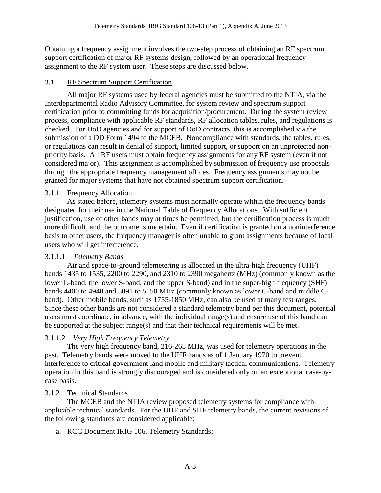Obtaining a frequency assignment involves the two-step process of obtaining an RF spectrum support certification of major RF systems design, followed by an operational frequency assignment to the RF system user. These steps are discussed below.

### <span id="page-6-0"></span>3.1 RF Spectrum Support Certification

All major RF systems used by federal agencies must be submitted to the NTIA, via the Interdepartmental Radio Advisory Committee, for system review and spectrum support certification prior to committing funds for acquisition/procurement. During the system review process, compliance with applicable RF standards, RF allocation tables, rules, and regulations is checked. For DoD agencies and for support of DoD contracts, this is accomplished via the submission of a DD Form 1494 to the MCEB. Noncompliance with standards, the tables, rules, or regulations can result in denial of support, limited support, or support on an unprotected nonpriority basis. All RF users must obtain frequency assignments for any RF system (even if not considered major). This assignment is accomplished by submission of frequency use proposals through the appropriate frequency management offices. Frequency assignments may not be granted for major systems that have not obtained spectrum support certification.

### 3.1.1 Frequency Allocation

As stated before, telemetry systems must normally operate within the frequency bands designated for their use in the National Table of Frequency Allocations. With sufficient justification, use of other bands may at times be permitted, but the certification process is much more difficult, and the outcome is uncertain. Even if certification is granted on a noninterference basis to other users, the frequency manager is often unable to grant assignments because of local users who will get interference.

## 3.1.1.1 *Telemetry Bands*

Air and space-to-ground telemetering is allocated in the ultra-high frequency (UHF) bands 1435 to 1535, 2200 to 2290, and 2310 to 2390 megahertz (MHz) (commonly known as the lower L-band, the lower S-band, and the upper S-band) and in the super-high frequency (SHF) bands 4400 to 4940 and 5091 to 5150 MHz (commonly known as lower C-band and middle Cband). Other mobile bands, such as 1755-1850 MHz, can also be used at many test ranges. Since these other bands are not considered a standard telemetry band per this document, potential users must coordinate, in advance, with the individual range(s) and ensure use of this band can be supported at the subject range(s) and that their technical requirements will be met.

## 3.1.1.2 *Very High Frequency Telemetry*

The very high frequency band, 216-265 MHz, was used for telemetry operations in the past. Telemetry bands were moved to the UHF bands as of 1 January 1970 to prevent interference to critical government land mobile and military tactical communications. Telemetry operation in this band is strongly discouraged and is considered only on an exceptional case-bycase basis.

### 3.1.2 Technical Standards

The MCEB and the NTIA review proposed telemetry systems for compliance with applicable technical standards. For the UHF and SHF telemetry bands, the current revisions of the following standards are considered applicable:

a. RCC Document IRIG 106, Telemetry Standards;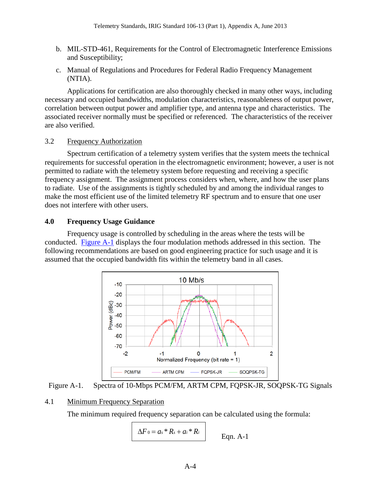- b. MIL-STD-461, Requirements for the Control of Electromagnetic Interference Emissions and Susceptibility;
- c. Manual of Regulations and Procedures for Federal Radio Frequency Management (NTIA).

Applications for certification are also thoroughly checked in many other ways, including necessary and occupied bandwidths, modulation characteristics, reasonableness of output power, correlation between output power and amplifier type, and antenna type and characteristics. The associated receiver normally must be specified or referenced. The characteristics of the receiver are also verified.

#### <span id="page-7-0"></span>3.2 Frequency Authorization

Spectrum certification of a telemetry system verifies that the system meets the technical requirements for successful operation in the electromagnetic environment; however, a user is not permitted to radiate with the telemetry system before requesting and receiving a specific frequency assignment. The assignment process considers when, where, and how the user plans to radiate. Use of the assignments is tightly scheduled by and among the individual ranges to make the most efficient use of the limited telemetry RF spectrum and to ensure that one user does not interfere with other users.

#### <span id="page-7-1"></span>**4.0 Frequency Usage Guidance**

Frequency usage is controlled by scheduling in the areas where the tests will be conducted. [Figure A-1](#page-7-3) displays the four modulation methods addressed in this section. The following recommendations are based on good engineering practice for such usage and it is assumed that the occupied bandwidth fits within the telemetry band in all cases.



<span id="page-7-3"></span>Figure A-1. Spectra of 10-Mbps PCM/FM, ARTM CPM, FQPSK-JR, SOQPSK-TG Signals

#### <span id="page-7-2"></span>4.1 Minimum Frequency Separation

The minimum required frequency separation can be calculated using the formula:

$$
\Delta F_0 = a_s * R_s + a_i * R_i
$$
 Eqn. A-1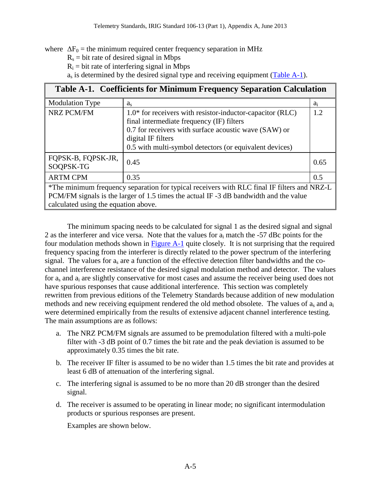where  $\Delta F_0$  = the minimum required center frequency separation in MHz

 $R<sub>s</sub>$  = bit rate of desired signal in Mbps

 $R_i$  = bit rate of interfering signal in Mbps

 $a<sub>s</sub>$  is determined by the desired signal type and receiving equipment [\(Table A-1\)](#page-8-0).

<span id="page-8-0"></span>

| Table A-1. Coefficients for Minimum Frequency Separation Calculation                                                                                                                                                        |                                                                                                                                                                                                                                                    |       |  |  |
|-----------------------------------------------------------------------------------------------------------------------------------------------------------------------------------------------------------------------------|----------------------------------------------------------------------------------------------------------------------------------------------------------------------------------------------------------------------------------------------------|-------|--|--|
| <b>Modulation Type</b>                                                                                                                                                                                                      | $a_{s}$                                                                                                                                                                                                                                            | $a_i$ |  |  |
| <b>NRZ PCM/FM</b>                                                                                                                                                                                                           | $1.0*$ for receivers with resistor-inductor-capacitor (RLC)<br>final intermediate frequency (IF) filters<br>0.7 for receivers with surface acoustic wave (SAW) or<br>digital IF filters<br>0.5 with multi-symbol detectors (or equivalent devices) | 1.2   |  |  |
| FQPSK-B, FQPSK-JR,<br>SOQPSK-TG                                                                                                                                                                                             | 0.45                                                                                                                                                                                                                                               | 0.65  |  |  |
| <b>ARTM CPM</b>                                                                                                                                                                                                             | 0.35                                                                                                                                                                                                                                               | 0.5   |  |  |
| *The minimum frequency separation for typical receivers with RLC final IF filters and NRZ-L<br>PCM/FM signals is the larger of 1.5 times the actual IF-3 dB bandwidth and the value<br>calculated using the equation above. |                                                                                                                                                                                                                                                    |       |  |  |

The minimum spacing needs to be calculated for signal 1 as the desired signal and signal 2 as the interferer and vice versa. Note that the values for ai match the -57 dBc points for the four modulation methods shown in [Figure A-1](#page-7-3) quite closely. It is not surprising that the required frequency spacing from the interferer is directly related to the power spectrum of the interfering signal. The values for as are a function of the effective detection filter bandwidths and the cochannel interference resistance of the desired signal modulation method and detector. The values for as and ai are slightly conservative for most cases and assume the receiver being used does not have spurious responses that cause additional interference. This section was completely rewritten from previous editions of the Telemetry Standards because addition of new modulation methods and new receiving equipment rendered the old method obsolete. The values of  $a_s$  and  $a_i$ were determined empirically from the results of extensive adjacent channel interference testing. The main assumptions are as follows:

- a. The NRZ PCM/FM signals are assumed to be premodulation filtered with a multi-pole filter with -3 dB point of 0.7 times the bit rate and the peak deviation is assumed to be approximately 0.35 times the bit rate.
- b. The receiver IF filter is assumed to be no wider than 1.5 times the bit rate and provides at least 6 dB of attenuation of the interfering signal.
- c. The interfering signal is assumed to be no more than 20 dB stronger than the desired signal.
- d. The receiver is assumed to be operating in linear mode; no significant intermodulation products or spurious responses are present.

Examples are shown below.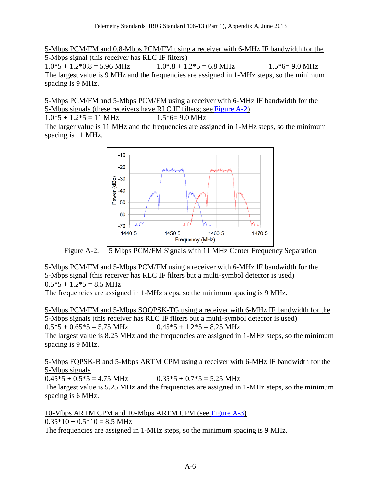5-Mbps PCM/FM and 0.8-Mbps PCM/FM using a receiver with 6-MHz IF bandwidth for the 5-Mbps signal (this receiver has RLC IF filters)

 $1.0*5 + 1.2*0.8 = 5.96 \text{ MHz}$   $1.0*8 + 1.2*5 = 6.8 \text{ MHz}$   $1.5*6 = 9.0 \text{ MHz}$ The largest value is 9 MHz and the frequencies are assigned in 1-MHz steps, so the minimum spacing is 9 MHz.

5-Mbps PCM/FM and 5-Mbps PCM/FM using a receiver with 6-MHz IF bandwidth for the 5-Mbps signals (these receivers have RLC IF filters; see [Figure A-2\)](#page-9-0)

 $1.0*5 + 1.2*5 = 11 \text{ MHz}$  1.5\*6= 9.0 MHz

The larger value is 11 MHz and the frequencies are assigned in 1-MHz steps, so the minimum spacing is 11 MHz.



Figure A-2. 5 Mbps PCM/FM Signals with 11 MHz Center Frequency Separation

<span id="page-9-0"></span>5-Mbps PCM/FM and 5-Mbps PCM/FM using a receiver with 6-MHz IF bandwidth for the 5-Mbps signal (this receiver has RLC IF filters but a multi-symbol detector is used)  $0.5*5 + 1.2*5 = 8.5$  MHz

The frequencies are assigned in 1-MHz steps, so the minimum spacing is 9 MHz.

5-Mbps PCM/FM and 5-Mbps SOQPSK-TG using a receiver with 6-MHz IF bandwidth for the 5-Mbps signals (this receiver has RLC IF filters but a multi-symbol detector is used)  $0.5*5 + 0.65*5 = 5.75 \text{ MHz}$   $0.45*5 + 1.2*5 = 8.25 \text{ MHz}$ The largest value is 8.25 MHz and the frequencies are assigned in 1-MHz steps, so the minimum spacing is 9 MHz.

5-Mbps FQPSK-B and 5-Mbps ARTM CPM using a receiver with 6-MHz IF bandwidth for the 5-Mbps signals

 $0.45*5 + 0.5*5 = 4.75 \text{ MHz}$   $0.35*5 + 0.7*5 = 5.25 \text{ MHz}$ 

The largest value is 5.25 MHz and the frequencies are assigned in 1-MHz steps, so the minimum spacing is 6 MHz.

10-Mbps ARTM CPM and 10-Mbps ARTM CPM (see [Figure A-3\)](#page-10-1)  $0.35*10 + 0.5*10 = 8.5 \text{ MHz}$ The frequencies are assigned in 1-MHz steps, so the minimum spacing is 9 MHz.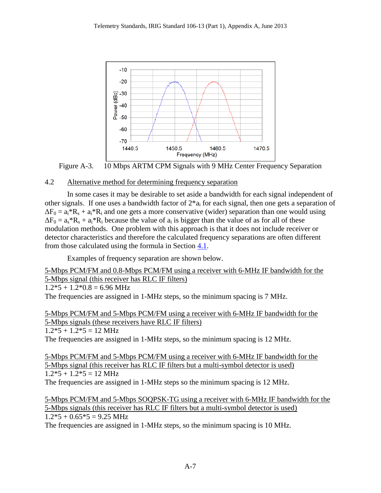

<span id="page-10-1"></span>Figure A-3. 10 Mbps ARTM CPM Signals with 9 MHz Center Frequency Separation

## <span id="page-10-0"></span>4.2 Alternative method for determining frequency separation

In some cases it may be desirable to set aside a bandwidth for each signal independent of other signals. If one uses a bandwidth factor of  $2a<sub>i</sub>$  for each signal, then one gets a separation of  $\Delta F_0 = a_i^* R_s + a_i^* R_i$  and one gets a more conservative (wider) separation than one would using  $\Delta F_0 = a_s^* R_s + a_i^* R_i$  because the value of  $a_i$  is bigger than the value of as for all of these modulation methods. One problem with this approach is that it does not include receiver or detector characteristics and therefore the calculated frequency separations are often different from those calculated using the formula in Section [4.1.](#page-7-2)

Examples of frequency separation are shown below.

5-Mbps PCM/FM and 0.8-Mbps PCM/FM using a receiver with 6-MHz IF bandwidth for the 5-Mbps signal (this receiver has RLC IF filters)

 $1.2*5 + 1.2*0.8 = 6.96 \text{ MHz}$ 

The frequencies are assigned in 1-MHz steps, so the minimum spacing is 7 MHz.

5-Mbps PCM/FM and 5-Mbps PCM/FM using a receiver with 6-MHz IF bandwidth for the 5-Mbps signals (these receivers have RLC IF filters)  $1.2*5 + 1.2*5 = 12 \text{ MHz}$ The frequencies are assigned in 1-MHz steps, so the minimum spacing is 12 MHz.

5-Mbps PCM/FM and 5-Mbps PCM/FM using a receiver with 6-MHz IF bandwidth for the 5-Mbps signal (this receiver has RLC IF filters but a multi-symbol detector is used)  $1.2*5 + 1.2*5 = 12 \text{ MHz}$ 

The frequencies are assigned in 1-MHz steps so the minimum spacing is 12 MHz.

5-Mbps PCM/FM and 5-Mbps SOQPSK-TG using a receiver with 6-MHz IF bandwidth for the 5-Mbps signals (this receiver has RLC IF filters but a multi-symbol detector is used)  $1.2*5 + 0.65*5 = 9.25 \text{ MHz}$ 

The frequencies are assigned in 1-MHz steps, so the minimum spacing is 10 MHz.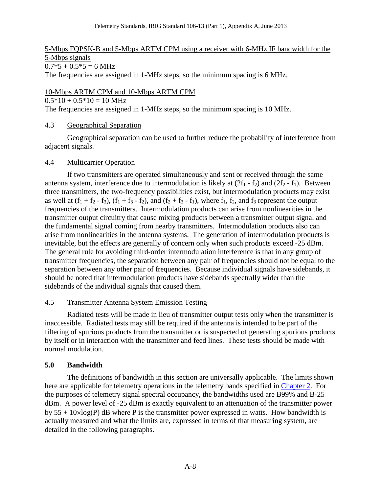5-Mbps FQPSK-B and 5-Mbps ARTM CPM using a receiver with 6-MHz IF bandwidth for the 5-Mbps signals  $0.7*5 + 0.5*5 = 6$  MHz

The frequencies are assigned in 1-MHz steps, so the minimum spacing is 6 MHz.

10-Mbps ARTM CPM and 10-Mbps ARTM CPM

 $0.5*10 + 0.5*10 = 10 \text{ MHz}$ 

<span id="page-11-0"></span>The frequencies are assigned in 1-MHz steps, so the minimum spacing is 10 MHz.

#### 4.3 Geographical Separation

Geographical separation can be used to further reduce the probability of interference from adjacent signals.

#### <span id="page-11-1"></span>4.4 Multicarrier Operation

If two transmitters are operated simultaneously and sent or received through the same antenna system, interference due to intermodulation is likely at  $(2f_1 - f_2)$  and  $(2f_2 - f_1)$ . Between three transmitters, the two-frequency possibilities exist, but intermodulation products may exist as well at  $(f_1 + f_2 - f_3)$ ,  $(f_1 + f_3 - f_2)$ , and  $(f_2 + f_3 - f_1)$ , where  $f_1, f_2$ , and  $f_3$  represent the output frequencies of the transmitters. Intermodulation products can arise from nonlinearities in the transmitter output circuitry that cause mixing products between a transmitter output signal and the fundamental signal coming from nearby transmitters. Intermodulation products also can arise from nonlinearities in the antenna systems. The generation of intermodulation products is inevitable, but the effects are generally of concern only when such products exceed -25 dBm. The general rule for avoiding third-order intermodulation interference is that in any group of transmitter frequencies, the separation between any pair of frequencies should not be equal to the separation between any other pair of frequencies. Because individual signals have sidebands, it should be noted that intermodulation products have sidebands spectrally wider than the sidebands of the individual signals that caused them.

### <span id="page-11-2"></span>4.5 Transmitter Antenna System Emission Testing

Radiated tests will be made in lieu of transmitter output tests only when the transmitter is inaccessible. Radiated tests may still be required if the antenna is intended to be part of the filtering of spurious products from the transmitter or is suspected of generating spurious products by itself or in interaction with the transmitter and feed lines. These tests should be made with normal modulation.

### <span id="page-11-3"></span>**5.0 Bandwidth**

The definitions of bandwidth in this section are universally applicable. The limits shown here are applicable for telemetry operations in the telemetry bands specified in [Chapter 2.](http://www.wsmr.army.mil/RCCsite/Documents/106-13_Telemetry_Standards/chapter2.pdf) For the purposes of telemetry signal spectral occupancy, the bandwidths used are B99% and B-25 dBm. A power level of -25 dBm is exactly equivalent to an attenuation of the transmitter power by  $55 + 10 \times \log(P)$  dB where P is the transmitter power expressed in watts. How bandwidth is actually measured and what the limits are, expressed in terms of that measuring system, are detailed in the following paragraphs.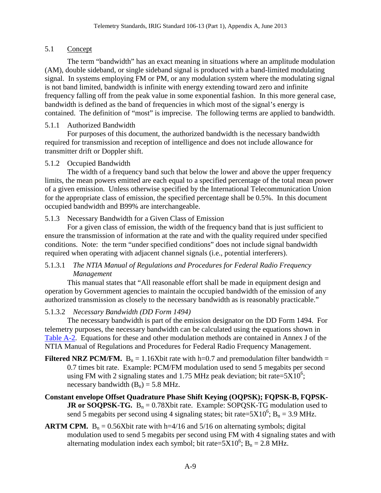## <span id="page-12-0"></span>5.1 Concept

The term "bandwidth" has an exact meaning in situations where an amplitude modulation (AM), double sideband, or single sideband signal is produced with a band-limited modulating signal. In systems employing FM or PM, or any modulation system where the modulating signal is not band limited, bandwidth is infinite with energy extending toward zero and infinite frequency falling off from the peak value in some exponential fashion. In this more general case, bandwidth is defined as the band of frequencies in which most of the signal's energy is contained. The definition of "most" is imprecise. The following terms are applied to bandwidth.

### 5.1.1 Authorized Bandwidth

For purposes of this document, the authorized bandwidth is the necessary bandwidth required for transmission and reception of intelligence and does not include allowance for transmitter drift or Doppler shift.

### 5.1.2 Occupied Bandwidth

The width of a frequency band such that below the lower and above the upper frequency limits, the mean powers emitted are each equal to a specified percentage of the total mean power of a given emission. Unless otherwise specified by the International Telecommunication Union for the appropriate class of emission, the specified percentage shall be 0.5%. In this document occupied bandwidth and B99% are interchangeable.

## 5.1.3 Necessary Bandwidth for a Given Class of Emission

For a given class of emission, the width of the frequency band that is just sufficient to ensure the transmission of information at the rate and with the quality required under specified conditions. Note: the term "under specified conditions" does not include signal bandwidth required when operating with adjacent channel signals (i.e., potential interferers).

### 5.1.3.1 *The NTIA Manual of Regulations and Procedures for Federal Radio Frequency Management*

This manual states that "All reasonable effort shall be made in equipment design and operation by Government agencies to maintain the occupied bandwidth of the emission of any authorized transmission as closely to the necessary bandwidth as is reasonably practicable."

### 5.1.3.2 *Necessary Bandwidth (DD Form 1494)*

The necessary bandwidth is part of the emission designator on the DD Form 1494. For telemetry purposes, the necessary bandwidth can be calculated using the equations shown in [Table A-2.](#page-13-2) Equations for these and other modulation methods are contained in Annex J of the NTIA Manual of Regulations and Procedures for Federal Radio Frequency Management.

- **Filtered NRZ PCM/FM.**  $B_n = 1.16X$ bit rate with h=0.7 and premodulation filter bandwidth = 0.7 times bit rate. Example: PCM/FM modulation used to send 5 megabits per second using FM with 2 signaling states and 1.75 MHz peak deviation; bit rate= $5X10^6$ ; necessary bandwidth  $(B_n) = 5.8 \text{ MHz}.$
- **Constant envelope Offset Quadrature Phase Shift Keying (OQPSK); FQPSK-B, FQPSK-JR or SOQPSK-TG.**  $B_n = 0.78X$ bit rate. Example: SOPQSK-TG modulation used to send 5 megabits per second using 4 signaling states; bit rate= $5X10^6$ ; B<sub>n</sub> = 3.9 MHz.
- **ARTM CPM.**  $B_n = 0.56X$ bit rate with h=4/16 and 5/16 on alternating symbols; digital modulation used to send 5 megabits per second using FM with 4 signaling states and with alternating modulation index each symbol; bit rate= $5X10^6$ ; B<sub>n</sub> = 2.8 MHz.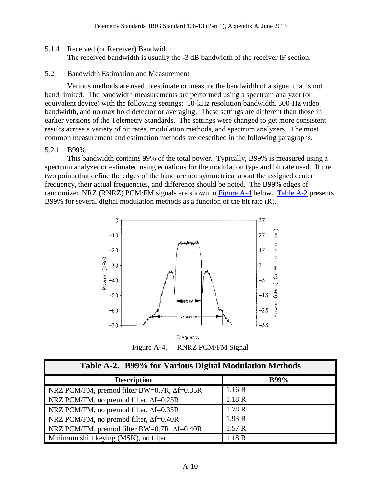5.1.4 Received (or Receiver) Bandwidth

The received bandwidth is usually the -3 dB bandwidth of the receiver IF section.

#### <span id="page-13-0"></span>5.2 Bandwidth Estimation and Measurement

Various methods are used to estimate or measure the bandwidth of a signal that is not band limited. The bandwidth measurements are performed using a spectrum analyzer (or equivalent device) with the following settings: 30-kHz resolution bandwidth, 300-Hz video bandwidth, and no max hold detector or averaging. These settings are different than those in earlier versions of the Telemetry Standards. The settings were changed to get more consistent results across a variety of bit rates, modulation methods, and spectrum analyzers. The most common measurement and estimation methods are described in the following paragraphs.

#### 5.2.1 B99%

This bandwidth contains 99% of the total power. Typically, B99% is measured using a spectrum analyzer or estimated using equations for the modulation type and bit rate used. If the two points that define the edges of the band are not symmetrical about the assigned center frequency, their actual frequencies, and difference should be noted. The B99% edges of randomized NRZ (RNRZ) PCM/FM signals are shown in [Figure A-4](#page-13-1) below. [Table A-2](#page-13-2) presents B99% for several digital modulation methods as a function of the bit rate (R).



<span id="page-13-2"></span><span id="page-13-1"></span>

| Table A-2. B99% for Various Digital Modulation Methods |             |  |  |  |
|--------------------------------------------------------|-------------|--|--|--|
| <b>Description</b>                                     | <b>B99%</b> |  |  |  |
| NRZ PCM/FM, premod filter BW=0.7R, $\Delta f$ =0.35R   | 1.16R       |  |  |  |
| NRZ PCM/FM, no premod filter, $\Delta f = 0.25R$       | 1.18R       |  |  |  |
| NRZ PCM/FM, no premod filter, $\Delta f = 0.35R$       | 1.78R       |  |  |  |
| NRZ PCM/FM, no premod filter, $\Delta f = 0.40R$       | 1.93 R      |  |  |  |
| NRZ PCM/FM, premod filter BW=0.7R, $\Delta f$ =0.40R   | 1.57 R      |  |  |  |
| Minimum shift keying (MSK), no filter                  | 1.18R       |  |  |  |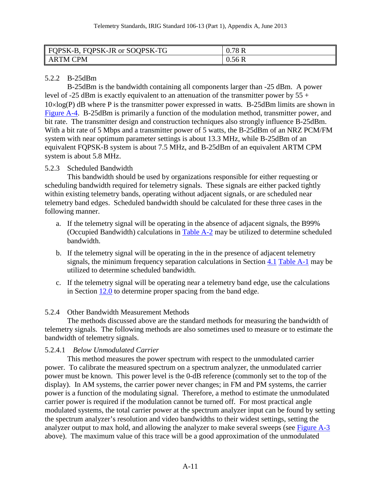| QPSK-B, FQPSK-JR or SOQPSK-TG<br>$\overline{F}$ | 78 D<br>oк<br><u>v.,</u> |
|-------------------------------------------------|--------------------------|
| CPM<br>`M-                                      | 0.56R                    |

### 5.2.2 B-25dBm

B-25dBm is the bandwidth containing all components larger than -25 dBm. A power level of -25 dBm is exactly equivalent to an attenuation of the transmitter power by 55 +  $10 \times log(P)$  dB where P is the transmitter power expressed in watts. B-25dBm limits are shown in [Figure A-4.](#page-13-1) B-25dBm is primarily a function of the modulation method, transmitter power, and bit rate. The transmitter design and construction techniques also strongly influence B-25dBm. With a bit rate of 5 Mbps and a transmitter power of 5 watts, the B-25dBm of an NRZ PCM/FM system with near optimum parameter settings is about 13.3 MHz, while B-25dBm of an equivalent FQPSK-B system is about 7.5 MHz, and B-25dBm of an equivalent ARTM CPM system is about 5.8 MHz.

### 5.2.3 Scheduled Bandwidth

This bandwidth should be used by organizations responsible for either requesting or scheduling bandwidth required for telemetry signals. These signals are either packed tightly within existing telemetry bands, operating without adjacent signals, or are scheduled near telemetry band edges. Scheduled bandwidth should be calculated for these three cases in the following manner.

- a. If the telemetry signal will be operating in the absence of adjacent signals, the B99% (Occupied Bandwidth) calculations in [Table A-2](#page-13-2) may be utilized to determine scheduled bandwidth.
- b. If the telemetry signal will be operating in the in the presence of adjacent telemetry signals, the minimum frequency separation calculations in Section [4.1](#page-7-2) [Table A-1](#page-8-0) may be utilized to determine scheduled bandwidth.
- c. If the telemetry signal will be operating near a telemetry band edge, use the calculations in Section [12.0](#page-31-0) to determine proper spacing from the band edge.

## 5.2.4 Other Bandwidth Measurement Methods

The methods discussed above are the standard methods for measuring the bandwidth of telemetry signals. The following methods are also sometimes used to measure or to estimate the bandwidth of telemetry signals.

### 5.2.4.1 *Below Unmodulated Carrier*

This method measures the power spectrum with respect to the unmodulated carrier power. To calibrate the measured spectrum on a spectrum analyzer, the unmodulated carrier power must be known. This power level is the 0-dB reference (commonly set to the top of the display). In AM systems, the carrier power never changes; in FM and PM systems, the carrier power is a function of the modulating signal. Therefore, a method to estimate the unmodulated carrier power is required if the modulation cannot be turned off. For most practical angle modulated systems, the total carrier power at the spectrum analyzer input can be found by setting the spectrum analyzer's resolution and video bandwidths to their widest settings, setting the analyzer output to max hold, and allowing the analyzer to make several sweeps (see  $Figure A-3$ above). The maximum value of this trace will be a good approximation of the unmodulated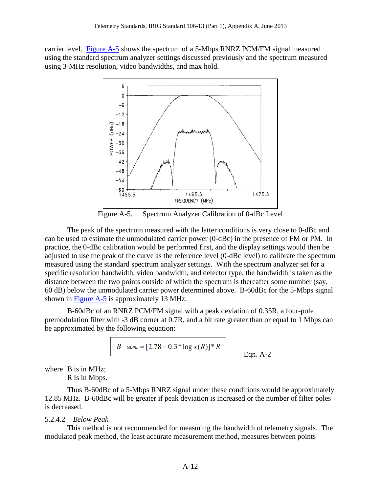carrier level. [Figure A-5](#page-15-0) shows the spectrum of a 5-Mbps RNRZ PCM/FM signal measured using the standard spectrum analyzer settings discussed previously and the spectrum measured using 3-MHz resolution, video bandwidths, and max hold.



Figure A-5. Spectrum Analyzer Calibration of 0-dBc Level

<span id="page-15-0"></span>The peak of the spectrum measured with the latter conditions is very close to 0-dBc and can be used to estimate the unmodulated carrier power (0-dBc) in the presence of FM or PM. In practice, the 0-dBc calibration would be performed first, and the display settings would then be adjusted to use the peak of the curve as the reference level (0-dBc level) to calibrate the spectrum measured using the standard spectrum analyzer settings. With the spectrum analyzer set for a specific resolution bandwidth, video bandwidth, and detector type, the bandwidth is taken as the distance between the two points outside of which the spectrum is thereafter some number (say, 60 dB) below the unmodulated carrier power determined above. B-60dBc for the 5-Mbps signal shown in [Figure A-5](#page-15-0) is approximately 13 MHz.

B-60dBc of an RNRZ PCM/FM signal with a peak deviation of 0.35R, a four-pole premodulation filter with -3 dB corner at 0.7R, and a bit rate greater than or equal to 1 Mbps can be approximated by the following equation:

$$
B - \omega_{\text{ABC}} = [2.78 - 0.3 * \log_{10}(R)] * R
$$
Eqn. A-2

where B is in MHz;

R is in Mbps.

Thus B-60dBc of a 5-Mbps RNRZ signal under these conditions would be approximately 12.85 MHz. B-60dBc will be greater if peak deviation is increased or the number of filter poles is decreased.

#### 5.2.4.2 *Below Peak*

This method is not recommended for measuring the bandwidth of telemetry signals. The modulated peak method, the least accurate measurement method, measures between points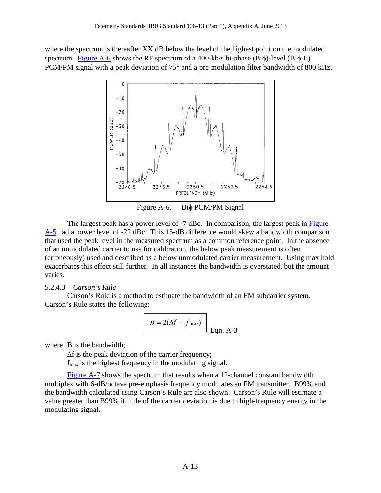where the spectrum is thereafter XX dB below the level of the highest point on the modulated spectrum. [Figure A-6](#page-16-0) shows the RF spectrum of a 400-kb/s bi-phase (Bi $\phi$ )-level (Bi $\phi$ -L) PCM/PM signal with a peak deviation of 75° and a pre-modulation filter bandwidth of 800 kHz.



<span id="page-16-0"></span>The largest peak has a power level of -7 dBc. In comparison, the largest peak in Figure [A-5](#page-15-0) had a power level of -22 dBc. This 15-dB difference would skew a bandwidth comparison that used the peak level in the measured spectrum as a common reference point. In the absence of an unmodulated carrier to use for calibration, the below peak measurement is often (erroneously) used and described as a below unmodulated carrier measurement. Using max hold exacerbates this effect still further. In all instances the bandwidth is overstated, but the amount

### 5.2.4.3 *Carson's Rule*

varies.

Carson's Rule is a method to estimate the bandwidth of an FM subcarrier system. Carson's Rule states the following:

$$
B = 2(\Delta f + f_{\text{max}})
$$
Eqn. A-3

where B is the bandwidth:

∆f is the peak deviation of the carrier frequency;  $f_{\text{max}}$  is the highest frequency in the modulating signal.

[Figure A-7](#page-17-0) shows the spectrum that results when a 12-channel constant bandwidth multiplex with 6-dB/octave pre-emphasis frequency modulates an FM transmitter. B99% and the bandwidth calculated using Carson's Rule are also shown. Carson's Rule will estimate a value greater than B99% if little of the carrier deviation is due to high-frequency energy in the modulating signal.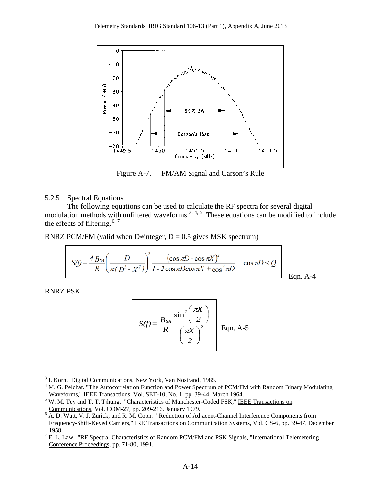

Figure A-7. FM/AM Signal and Carson's Rule

#### <span id="page-17-0"></span>5.2.5 Spectral Equations

The following equations can be used to calculate the RF spectra for several digital modulation methods with unfiltered waveforms.<sup>[3](#page-17-1), [4,](#page-17-2) [5](#page-17-3)</sup> These equations can be modified to include the effects of filtering.<sup>[6,](#page-17-4) [7](#page-17-5)</sup>

RNRZ PCM/FM (valid when D≠integer,  $D = 0.5$  gives MSK spectrum)

$$
S(f) = \frac{4 B_{S4}}{R} \left( \frac{D}{\pi (D^2 - X^2)} \right)^2 \frac{(\cos \pi D - \cos \pi X)^2}{1 - 2 \cos \pi D \cos \pi X + \cos^2 \pi D}, \cos \pi D < Q
$$
Eqn. A-4

RNRZ PSK

$$
S(f) = \frac{B_{SA}}{R} \frac{\sin^2\left(\frac{\pi X}{2}\right)}{\left(\frac{\pi X}{2}\right)^2}
$$
 Eqn. A-5

<span id="page-17-2"></span><span id="page-17-1"></span><sup>&</sup>lt;sup>3</sup> I. Korn. <u>Digital Communications</u>, New York, Van Nostrand, 1985.<br>
<sup>4</sup> M. G. Pelchat. "The Autocorrelation Function and Power Spectrum of PCM/FM with Random Binary Modulating<br>
Waveforms," <u>IEEE Transactions</u>, Vol. SET-

<span id="page-17-3"></span><sup>&</sup>lt;sup>5</sup> W. M. Tey and T. T. Tjhung. "Characteristics of Manchester-Coded FSK," IEEE Transactions on Communications, Vol. COM-27, pp. 209-216, January 1979.

<span id="page-17-4"></span> $6$  A. D. Watt, V. J. Zurick, and R. M. Coon. "Reduction of Adjacent-Channel Interference Components from Frequency-Shift-Keyed Carriers," IRE Transactions on Communication Systems, Vol. CS-6, pp. 39-47, December 1958.

<span id="page-17-5"></span> $<sup>7</sup>$  E. L. Law. "RF Spectral Characteristics of Random PCM/FM and PSK Signals, "International Telemetering</sup> Conference Proceedings, pp. 71-80, 1991.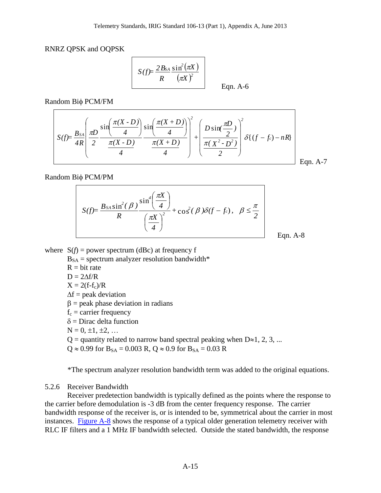RNRZ QPSK and OQPSK

$$
S(f) = \frac{2 B_{SA}}{R} \frac{\sin^2(\pi X)}{(\pi X)^2}
$$
Eqn. A-6

#### Random Biφ PCM/FM

$$
S(f)=\frac{B_{5A}}{4R}\left(\frac{\pi D}{2}\frac{\sin\left(\frac{\pi(X+D)}{4}\right)}{\frac{\pi(X+D)}{4}}\frac{\sin\left(\frac{\pi(X+D)}{4}\right)}{\frac{\pi(X+D)}{4}}\right)^{2}+\left(\frac{D\sin\left(\frac{\pi D}{2}\right)}{\frac{\pi(X^{2}-D^{2})}{2}}\right)^{2}\delta\{(f-f_{c})-nR\}\nEqn. A-7
$$

#### Random Biφ PCM/PM

$$
S(f) = \frac{B_{SA}\sin^2(\beta)}{R} \frac{\sin^4\left(\frac{\pi X}{4}\right)}{\left(\frac{\pi X}{4}\right)^2} + \cos^2(\beta)\delta(f - f_c), \quad \beta \le \frac{\pi}{2}
$$

Eqn. A-8

where  $S(f)$  = power spectrum (dBc) at frequency f  $B_{SA}$  = spectrum analyzer resolution bandwidth\*  $R = bit$  rate  $D = 2\Delta f/R$  $X = 2(f - f_c)/R$  $\Delta f$  = peak deviation  $β = peak phase deviation in radians$  $f_c$  = carrier frequency  $\delta$  = Dirac delta function  $N = 0, \pm 1, \pm 2, \ldots$  $Q =$  quantity related to narrow band spectral peaking when  $D \approx 1, 2, 3, ...$  $Q \approx 0.99$  for  $B_{SA} = 0.003$  R,  $Q \approx 0.9$  for  $B_{SA} = 0.03$  R

\*The spectrum analyzer resolution bandwidth term was added to the original equations.

#### 5.2.6 Receiver Bandwidth

Receiver predetection bandwidth is typically defined as the points where the response to the carrier before demodulation is -3 dB from the center frequency response. The carrier bandwidth response of the receiver is, or is intended to be, symmetrical about the carrier in most instances. [Figure A-8](#page-19-0) shows the response of a typical older generation telemetry receiver with RLC IF filters and a 1 MHz IF bandwidth selected. Outside the stated bandwidth, the response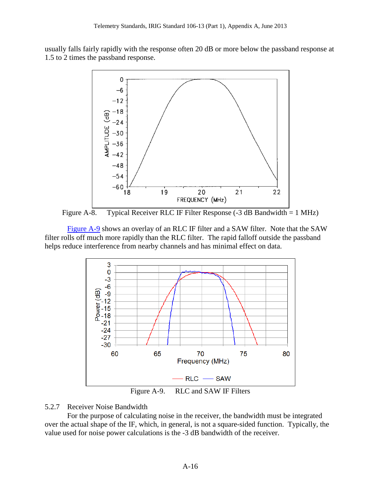usually falls fairly rapidly with the response often 20 dB or more below the passband response at 1.5 to 2 times the passband response.



Figure A-8. Typical Receiver RLC IF Filter Response  $(-3 dB$  Bandwidth = 1 MHz)

<span id="page-19-0"></span>[Figure A-9](#page-19-1) shows an overlay of an RLC IF filter and a SAW filter. Note that the SAW filter rolls off much more rapidly than the RLC filter. The rapid falloff outside the passband helps reduce interference from nearby channels and has minimal effect on data.



Figure A-9. RLC and SAW IF Filters

### <span id="page-19-1"></span>5.2.7 Receiver Noise Bandwidth

For the purpose of calculating noise in the receiver, the bandwidth must be integrated over the actual shape of the IF, which, in general, is not a square-sided function. Typically, the value used for noise power calculations is the -3 dB bandwidth of the receiver.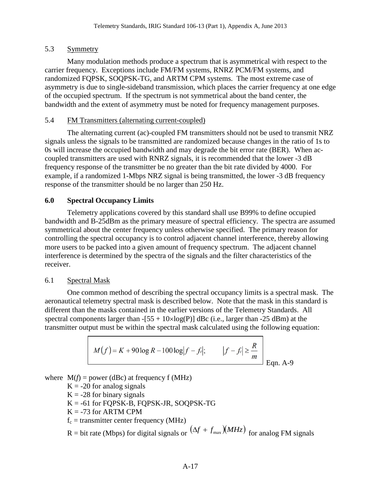### <span id="page-20-0"></span>5.3 Symmetry

Many modulation methods produce a spectrum that is asymmetrical with respect to the carrier frequency. Exceptions include FM/FM systems, RNRZ PCM/FM systems, and randomized FQPSK, SOQPSK-TG, and ARTM CPM systems. The most extreme case of asymmetry is due to single-sideband transmission, which places the carrier frequency at one edge of the occupied spectrum. If the spectrum is not symmetrical about the band center, the bandwidth and the extent of asymmetry must be noted for frequency management purposes.

## <span id="page-20-1"></span>5.4 FM Transmitters (alternating current-coupled)

The alternating current (ac)-coupled FM transmitters should not be used to transmit NRZ signals unless the signals to be transmitted are randomized because changes in the ratio of 1s to 0s will increase the occupied bandwidth and may degrade the bit error rate (BER). When accoupled transmitters are used with RNRZ signals, it is recommended that the lower -3 dB frequency response of the transmitter be no greater than the bit rate divided by 4000. For example, if a randomized 1-Mbps NRZ signal is being transmitted, the lower -3 dB frequency response of the transmitter should be no larger than 250 Hz.

## <span id="page-20-2"></span>**6.0 Spectral Occupancy Limits**

Telemetry applications covered by this standard shall use B99% to define occupied bandwidth and B-25dBm as the primary measure of spectral efficiency. The spectra are assumed symmetrical about the center frequency unless otherwise specified. The primary reason for controlling the spectral occupancy is to control adjacent channel interference, thereby allowing more users to be packed into a given amount of frequency spectrum. The adjacent channel interference is determined by the spectra of the signals and the filter characteristics of the receiver.

### <span id="page-20-3"></span>6.1 Spectral Mask

One common method of describing the spectral occupancy limits is a spectral mask. The aeronautical telemetry spectral mask is described below. Note that the mask in this standard is different than the masks contained in the earlier versions of the Telemetry Standards. All spectral components larger than  $-[55 + 10 \times \log(P)]$  dBc (i.e., larger than  $-25$  dBm) at the transmitter output must be within the spectral mask calculated using the following equation:

$$
M(f) = K + 90 \log R - 100 \log |f - f_c|;
$$
  $|f - f_c| \ge \frac{R}{m}$  Eqn. A-9

where  $M(f)$  = power (dBc) at frequency f (MHz)

 $K = -20$  for analog signals  $K = -28$  for binary signals K = -61 for FQPSK-B, FQPSK-JR, SOQPSK-TG  $K = -73$  for ARTM CPM  $f_c$  = transmitter center frequency (MHz) R = bit rate (Mbps) for digital signals or  $(\Delta f + f_{\text{max}})(MHz)$  for analog FM signals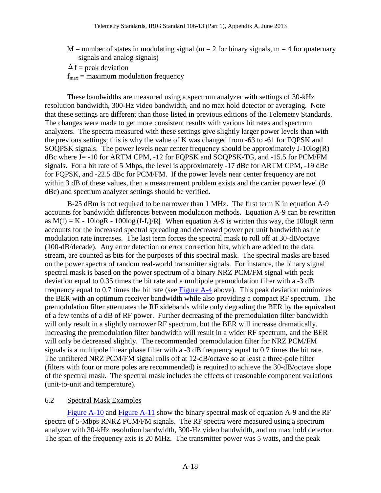- $M =$  number of states in modulating signal (m = 2 for binary signals, m = 4 for quaternary signals and analog signals)
- $\Delta f$  = peak deviation
- $f_{\text{max}} =$  maximum modulation frequency

These bandwidths are measured using a spectrum analyzer with settings of 30-kHz resolution bandwidth, 300-Hz video bandwidth, and no max hold detector or averaging. Note that these settings are different than those listed in previous editions of the Telemetry Standards. The changes were made to get more consistent results with various bit rates and spectrum analyzers. The spectra measured with these settings give slightly larger power levels than with the previous settings; this is why the value of K was changed from -63 to -61 for FQPSK and SOQPSK signals. The power levels near center frequency should be approximately J-10log(R) dBc where J= -10 for ARTM CPM, -12 for FQPSK and SOQPSK-TG, and -15.5 for PCM/FM signals. For a bit rate of 5 Mbps, the level is approximately -17 dBc for ARTM CPM, -19 dBc for FQPSK, and -22.5 dBc for PCM/FM. If the power levels near center frequency are not within 3 dB of these values, then a measurement problem exists and the carrier power level (0 dBc) and spectrum analyzer settings should be verified.

B-25 dBm is not required to be narrower than 1 MHz. The first term K in equation A-9 accounts for bandwidth differences between modulation methods. Equation A-9 can be rewritten as  $M(f) = K - 10\log R - 100\log((f - f_c)/R)$ . When equation A-9 is written this way, the 10logR term accounts for the increased spectral spreading and decreased power per unit bandwidth as the modulation rate increases. The last term forces the spectral mask to roll off at 30-dB/octave (100-dB/decade). Any error detection or error correction bits, which are added to the data stream, are counted as bits for the purposes of this spectral mask. The spectral masks are based on the power spectra of random real-world transmitter signals. For instance, the binary signal spectral mask is based on the power spectrum of a binary NRZ PCM/FM signal with peak deviation equal to 0.35 times the bit rate and a multipole premodulation filter with a -3 dB frequency equal to 0.7 times the bit rate (see  $Figure A-4$  above). This peak deviation minimizes the BER with an optimum receiver bandwidth while also providing a compact RF spectrum. The premodulation filter attenuates the RF sidebands while only degrading the BER by the equivalent of a few tenths of a dB of RF power. Further decreasing of the premodulation filter bandwidth will only result in a slightly narrower RF spectrum, but the BER will increase dramatically. Increasing the premodulation filter bandwidth will result in a wider RF spectrum, and the BER will only be decreased slightly. The recommended premodulation filter for NRZ PCM/FM signals is a multipole linear phase filter with a -3 dB frequency equal to 0.7 times the bit rate. The unfiltered NRZ PCM/FM signal rolls off at 12-dB/octave so at least a three-pole filter (filters with four or more poles are recommended) is required to achieve the 30-dB/octave slope of the spectral mask. The spectral mask includes the effects of reasonable component variations (unit-to-unit and temperature).

#### <span id="page-21-0"></span>6.2 Spectral Mask Examples

[Figure A-10](#page-22-0) and [Figure A-11](#page-22-1) show the binary spectral mask of equation A-9 and the RF spectra of 5-Mbps RNRZ PCM/FM signals. The RF spectra were measured using a spectrum analyzer with 30-kHz resolution bandwidth, 300-Hz video bandwidth, and no max hold detector. The span of the frequency axis is 20 MHz. The transmitter power was 5 watts, and the peak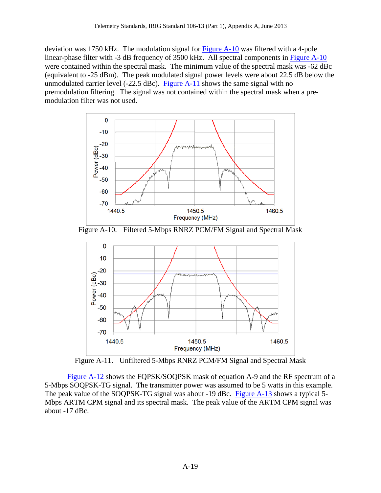deviation was 1750 kHz. The modulation signal for [Figure A-10](#page-22-0) was filtered with a 4-pole linear-phase filter with -3 dB frequency of 3500 kHz. All spectral components in [Figure A-10](#page-22-0) were contained within the spectral mask. The minimum value of the spectral mask was -62 dBc (equivalent to -25 dBm). The peak modulated signal power levels were about 22.5 dB below the unmodulated carrier level (-22.5 dBc). [Figure A-11](#page-22-1) shows the same signal with no premodulation filtering. The signal was not contained within the spectral mask when a premodulation filter was not used.



<span id="page-22-0"></span>Figure A-10. Filtered 5-Mbps RNRZ PCM/FM Signal and Spectral Mask



Figure A-11. Unfiltered 5-Mbps RNRZ PCM/FM Signal and Spectral Mask

<span id="page-22-1"></span>[Figure A-12](#page-23-1) shows the FQPSK/SOQPSK mask of equation A-9 and the RF spectrum of a 5-Mbps SOQPSK-TG signal. The transmitter power was assumed to be 5 watts in this example. The peak value of the SOQPSK-TG signal was about -19 dBc. [Figure A-13](#page-23-2) shows a typical 5-Mbps ARTM CPM signal and its spectral mask. The peak value of the ARTM CPM signal was about -17 dBc.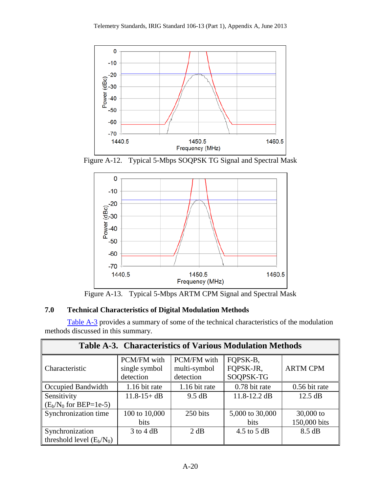

<span id="page-23-1"></span>Figure A-12. Typical 5-Mbps SOQPSK TG Signal and Spectral Mask



Figure A-13. Typical 5-Mbps ARTM CPM Signal and Spectral Mask

# <span id="page-23-2"></span><span id="page-23-0"></span>**7.0 Technical Characteristics of Digital Modulation Methods**

[Table A-3](#page-23-3) provides a summary of some of the technical characteristics of the modulation methods discussed in this summary.

<span id="page-23-3"></span>

| Table A-3. Characteristics of Various Modulation Methods |                  |               |                  |                 |
|----------------------------------------------------------|------------------|---------------|------------------|-----------------|
|                                                          | PCM/FM with      | PCM/FM with   | FQPSK-B,         |                 |
| Characteristic                                           | single symbol    | multi-symbol  | FQPSK-JR,        | <b>ARTM CPM</b> |
|                                                          | detection        | detection     | SOQPSK-TG        |                 |
| Occupied Bandwidth                                       | 1.16 bit rate    | 1.16 bit rate | 0.78 bit rate    | 0.56 bit rate   |
| Sensitivity                                              | $11.8 - 15 + dB$ | 9.5 dB        | $11.8 - 12.2$ dB | 12.5 dB         |
| $(E_b/N_0$ for BEP=1e-5)                                 |                  |               |                  |                 |
| Synchronization time                                     | 100 to 10,000    | 250 bits      | 5,000 to 30,000  | 30,000 to       |
|                                                          | bits             |               | bits             | 150,000 bits    |
| Synchronization                                          | $3$ to $4$ dB    | 2 dB          | 4.5 to 5 dB      | 8.5 dB          |
| threshold level $(E_b/N_0)$                              |                  |               |                  |                 |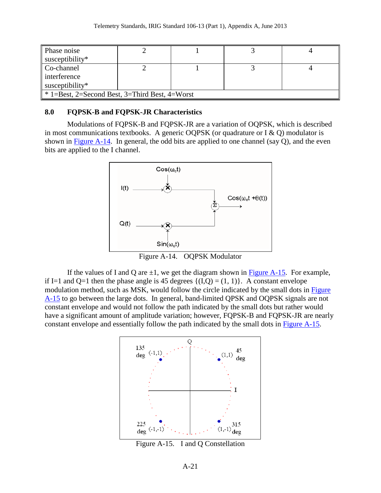| Phase noise                                                |  |  |  |
|------------------------------------------------------------|--|--|--|
| susceptibility $*$                                         |  |  |  |
| $\mathsf{C}$ Co-channel                                    |  |  |  |
| interference                                               |  |  |  |
| susceptibility*                                            |  |  |  |
| $\parallel$ * 1=Best, 2=Second Best, 3=Third Best, 4=Worst |  |  |  |

### <span id="page-24-0"></span>**8.0 FQPSK-B and FQPSK-JR Characteristics**

Modulations of FQPSK-B and FQPSK-JR are a variation of OQPSK, which is described in most communications textbooks. A generic OQPSK (or quadrature or I & Q) modulator is shown in [Figure A-14.](#page-24-1) In general, the odd bits are applied to one channel (say Q), and the even bits are applied to the I channel.



Figure A-14. OQPSK Modulator

<span id="page-24-1"></span>If the values of I and Q are  $\pm 1$ , we get the diagram shown in [Figure A-15.](#page-24-2) For example, if I=1 and Q=1 then the phase angle is 45 degrees  $\{(I,Q) = (1, 1)\}\)$ . A constant envelope modulation method, such as MSK, would follow the circle indicated by the small dots in Figure [A-15](#page-24-2) to go between the large dots. In general, band-limited QPSK and OQPSK signals are not constant envelope and would not follow the path indicated by the small dots but rather would have a significant amount of amplitude variation; however, FQPSK-B and FQPSK-JR are nearly constant envelope and essentially follow the path indicated by the small dots in [Figure A-15.](#page-24-2)



<span id="page-24-2"></span>Figure A-15. I and Q Constellation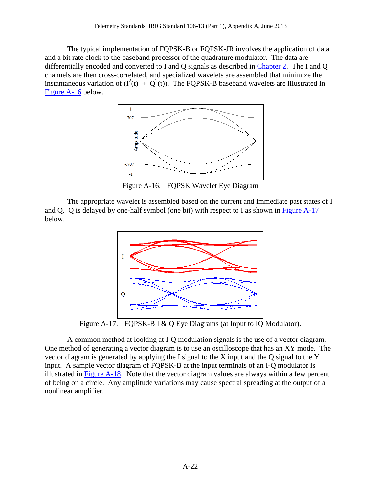The typical implementation of FQPSK-B or FQPSK-JR involves the application of data and a bit rate clock to the baseband processor of the quadrature modulator. The data are differentially encoded and converted to I and Q signals as described in [Chapter 2.](http://www.wsmr.army.mil/RCCsite/Documents/106-13_Telemetry_Standards/chapter2.pdf) The I and Q channels are then cross-correlated, and specialized wavelets are assembled that minimize the instantaneous variation of  $(I^2(t) + Q^2(t))$ . The FQPSK-B baseband wavelets are illustrated in [Figure A-16](#page-25-0) below.



Figure A-16. FQPSK Wavelet Eye Diagram

<span id="page-25-0"></span>The appropriate wavelet is assembled based on the current and immediate past states of I and Q. Q is delayed by one-half symbol (one bit) with respect to I as shown in [Figure A-17](#page-25-1) below.



Figure A-17. FOPSK-B I & O Eye Diagrams (at Input to IO Modulator).

<span id="page-25-1"></span>A common method at looking at I-Q modulation signals is the use of a vector diagram. One method of generating a vector diagram is to use an oscilloscope that has an XY mode. The vector diagram is generated by applying the I signal to the X input and the Q signal to the Y input. A sample vector diagram of FQPSK-B at the input terminals of an I-Q modulator is illustrated in [Figure A-18.](#page-26-0) Note that the vector diagram values are always within a few percent of being on a circle. Any amplitude variations may cause spectral spreading at the output of a nonlinear amplifier.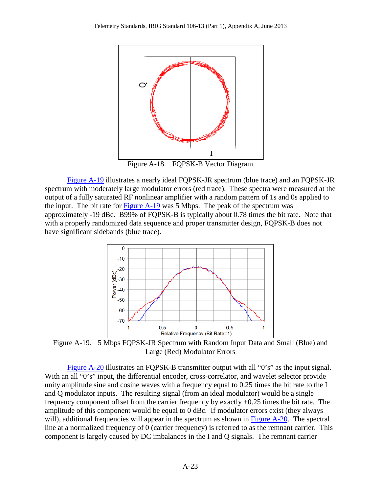

Figure A-18. FQPSK-B Vector Diagram

<span id="page-26-0"></span>[Figure A-19](#page-26-1) illustrates a nearly ideal FQPSK-JR spectrum (blue trace) and an FQPSK-JR spectrum with moderately large modulator errors (red trace). These spectra were measured at the output of a fully saturated RF nonlinear amplifier with a random pattern of 1s and 0s applied to the input. The bit rate for [Figure A-19](#page-26-1) was 5 Mbps. The peak of the spectrum was approximately -19 dBc. B99% of FQPSK-B is typically about 0.78 times the bit rate. Note that with a properly randomized data sequence and proper transmitter design, FQPSK-B does not have significant sidebands (blue trace).



<span id="page-26-1"></span>Figure A-19. 5 Mbps FQPSK-JR Spectrum with Random Input Data and Small (Blue) and Large (Red) Modulator Errors

[Figure A-20](#page-27-0) illustrates an FQPSK-B transmitter output with all "0's" as the input signal. With an all "0's" input, the differential encoder, cross-correlator, and wavelet selector provide unity amplitude sine and cosine waves with a frequency equal to 0.25 times the bit rate to the I and Q modulator inputs. The resulting signal (from an ideal modulator) would be a single frequency component offset from the carrier frequency by exactly +0.25 times the bit rate. The amplitude of this component would be equal to 0 dBc. If modulator errors exist (they always will), additional frequencies will appear in the spectrum as shown in [Figure A-20.](#page-27-0) The spectral line at a normalized frequency of 0 (carrier frequency) is referred to as the remnant carrier. This component is largely caused by DC imbalances in the I and Q signals. The remnant carrier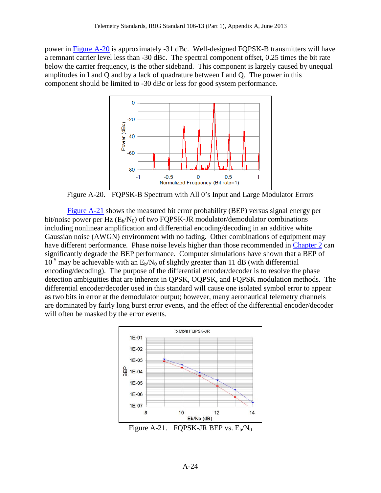power in [Figure A-20](#page-27-0) is approximately -31 dBc. Well-designed FQPSK-B transmitters will have a remnant carrier level less than -30 dBc. The spectral component offset, 0.25 times the bit rate below the carrier frequency, is the other sideband. This component is largely caused by unequal amplitudes in I and Q and by a lack of quadrature between I and Q. The power in this component should be limited to -30 dBc or less for good system performance.



Figure A-20. FQPSK-B Spectrum with All 0's Input and Large Modulator Errors

<span id="page-27-0"></span>[Figure A-21](#page-27-1) shows the measured bit error probability (BEP) versus signal energy per bit/noise power per Hz  $(E_b/N_0)$  of two FQPSK-JR modulator/demodulator combinations including nonlinear amplification and differential encoding/decoding in an additive white Gaussian noise (AWGN) environment with no fading. Other combinations of equipment may have different performance. Phase noise levels higher than those recommended in [Chapter 2](http://www.wsmr.army.mil/RCCsite/Documents/106-13_Telemetry_Standards/chapter2.pdf) can significantly degrade the BEP performance. Computer simulations have shown that a BEP of  $10^{-5}$  may be achievable with an  $E_b/N_0$  of slightly greater than 11 dB (with differential encoding/decoding). The purpose of the differential encoder/decoder is to resolve the phase detection ambiguities that are inherent in QPSK, OQPSK, and FQPSK modulation methods. The differential encoder/decoder used in this standard will cause one isolated symbol error to appear as two bits in error at the demodulator output; however, many aeronautical telemetry channels are dominated by fairly long burst error events, and the effect of the differential encoder/decoder will often be masked by the error events.



<span id="page-27-1"></span>Figure A-21. FQPSK-JR BEP vs.  $E_b/N_0$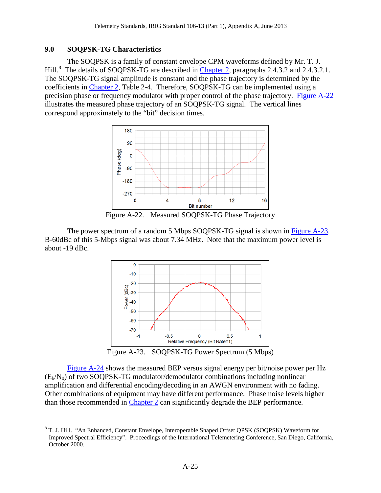#### <span id="page-28-0"></span>**9.0 SOQPSK-TG Characteristics**

The SOQPSK is a family of constant envelope CPM waveforms defined by Mr. T. J. Hill.<sup>[8](#page-28-3)</sup> The details of SOQPSK-TG are described in [Chapter 2,](http://www.wsmr.army.mil/RCCsite/Documents/106-13_Telemetry_Standards/chapter2.pdf) paragraphs 2.4.3.2 and 2.4.3.2.1. The SOQPSK-TG signal amplitude is constant and the phase trajectory is determined by the coefficients in [Chapter 2,](http://www.wsmr.army.mil/RCCsite/Documents/106-13_Telemetry_Standards/chapter2.pdf) Table 2-4. Therefore, SOQPSK-TG can be implemented using a precision phase or frequency modulator with proper control of the phase trajectory. [Figure A-22](#page-28-1) illustrates the measured phase trajectory of an SOQPSK-TG signal. The vertical lines correspond approximately to the "bit" decision times.



Figure A-22. Measured SOQPSK-TG Phase Trajectory

<span id="page-28-1"></span>The power spectrum of a random 5 Mbps SOQPSK-TG signal is shown in [Figure A-23.](#page-28-2) B-60dBc of this 5-Mbps signal was about 7.34 MHz. Note that the maximum power level is about -19 dBc.



Figure A-23. SOQPSK-TG Power Spectrum (5 Mbps)

<span id="page-28-2"></span>[Figure A-24](#page-29-1) shows the measured BEP versus signal energy per bit/noise power per Hz  $(E_b/N_0)$  of two SOQPSK-TG modulator/demodulator combinations including nonlinear amplification and differential encoding/decoding in an AWGN environment with no fading. Other combinations of equipment may have different performance. Phase noise levels higher than those recommended in [Chapter 2](http://www.wsmr.army.mil/RCCsite/Documents/106-13_Telemetry_Standards/chapter2.pdf) can significantly degrade the BEP performance.

<span id="page-28-3"></span> <sup>8</sup> T. J. Hill. "An Enhanced, Constant Envelope, Interoperable Shaped Offset QPSK (SOQPSK) Waveform for Improved Spectral Efficiency". Proceedings of the International Telemetering Conference, San Diego, California, October 2000.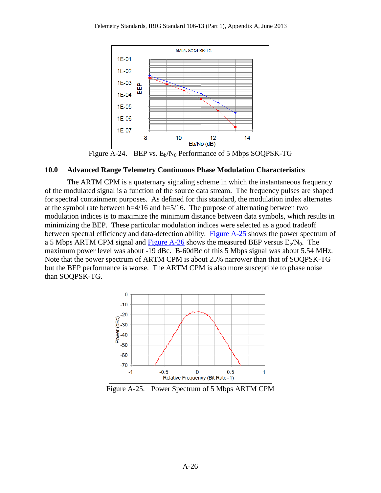

Figure A-24. BEP vs.  $E_b/N_0$  Performance of 5 Mbps SOQPSK-TG

#### <span id="page-29-1"></span><span id="page-29-0"></span>**10.0 Advanced Range Telemetry Continuous Phase Modulation Characteristics**

The ARTM CPM is a quaternary signaling scheme in which the instantaneous frequency of the modulated signal is a function of the source data stream. The frequency pulses are shaped for spectral containment purposes. As defined for this standard, the modulation index alternates at the symbol rate between h=4/16 and h=5/16. The purpose of alternating between two modulation indices is to maximize the minimum distance between data symbols, which results in minimizing the BEP. These particular modulation indices were selected as a good tradeoff between spectral efficiency and data-detection ability. [Figure A-25](#page-29-2) shows the power spectrum of a 5 Mbps ARTM CPM signal and [Figure A-26](#page-30-1) shows the measured BEP versus  $E_b/N_0$ . The maximum power level was about -19 dBc. B-60dBc of this 5 Mbps signal was about 5.54 MHz. Note that the power spectrum of ARTM CPM is about 25% narrower than that of SOQPSK-TG but the BEP performance is worse. The ARTM CPM is also more susceptible to phase noise than SOQPSK-TG.



<span id="page-29-2"></span>Figure A-25. Power Spectrum of 5 Mbps ARTM CPM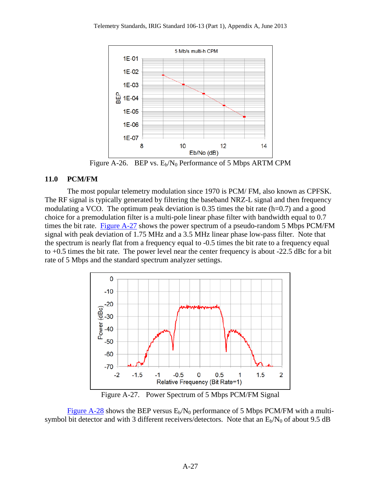

Figure A-26. BEP vs.  $E_b/N_0$  Performance of 5 Mbps ARTM CPM

#### <span id="page-30-1"></span><span id="page-30-0"></span>**11.0 PCM/FM**

The most popular telemetry modulation since 1970 is PCM/ FM, also known as CPFSK. The RF signal is typically generated by filtering the baseband NRZ-L signal and then frequency modulating a VCO. The optimum peak deviation is  $0.35$  times the bit rate (h=0.7) and a good choice for a premodulation filter is a multi-pole linear phase filter with bandwidth equal to 0.7 times the bit rate. Figure  $A-27$  shows the power spectrum of a pseudo-random 5 Mbps PCM/FM signal with peak deviation of 1.75 MHz and a 3.5 MHz linear phase low-pass filter. Note that the spectrum is nearly flat from a frequency equal to -0.5 times the bit rate to a frequency equal to +0.5 times the bit rate. The power level near the center frequency is about -22.5 dBc for a bit rate of 5 Mbps and the standard spectrum analyzer settings.



Figure A-27. Power Spectrum of 5 Mbps PCM/FM Signal

<span id="page-30-2"></span>[Figure A-28](#page-31-1) shows the BEP versus  $E_b/N_0$  performance of 5 Mbps PCM/FM with a multisymbol bit detector and with 3 different receivers/detectors. Note that an  $E_b/N_0$  of about 9.5 dB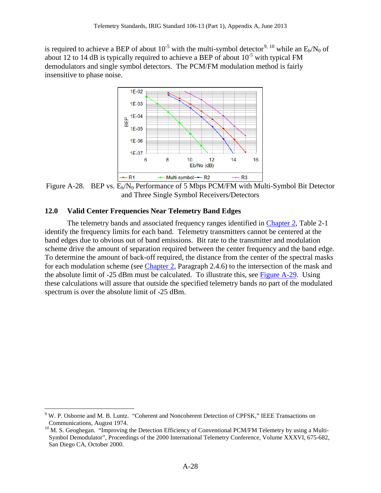is required to achieve a BEP of about  $10^{-5}$  $10^{-5}$  with the multi-symbol detector<sup>[9](#page-31-2), 10</sup> while an  $E_b/N_0$  of about 12 to 14 dB is typically required to achieve a BEP of about  $10^{-5}$  with typical FM demodulators and single symbol detectors. The PCM/FM modulation method is fairly insensitive to phase noise.



<span id="page-31-1"></span>Figure A-28. BEP vs.  $E_b/N_0$  Performance of 5 Mbps PCM/FM with Multi-Symbol Bit Detector and Three Single Symbol Receivers/Detectors

### <span id="page-31-0"></span>**12.0 Valid Center Frequencies Near Telemetry Band Edges**

The telemetry bands and associated frequency ranges identified in [Chapter 2,](http://www.wsmr.army.mil/RCCsite/Documents/106-13_Telemetry_Standards/chapter2.pdf) Table 2-1 identify the frequency limits for each band. Telemetry transmitters cannot be centered at the band edges due to obvious out of band emissions. Bit rate to the transmitter and modulation scheme drive the amount of separation required between the center frequency and the band edge. To determine the amount of back-off required, the distance from the center of the spectral masks for each modulation scheme (see [Chapter 2,](http://www.wsmr.army.mil/RCCsite/Documents/106-13_Telemetry_Standards/chapter2.pdf) Paragraph 2.4.6) to the intersection of the mask and the absolute limit of -25 dBm must be calculated. To illustrate this, see [Figure A-29.](#page-32-0) Using these calculations will assure that outside the specified telemetry bands no part of the modulated spectrum is over the absolute limit of -25 dBm.

<span id="page-31-2"></span><sup>&</sup>lt;sup>9</sup> W. P. Osborne and M. B. Luntz. "Coherent and Noncoherent Detection of CPFSK," IEEE Transactions on

<span id="page-31-3"></span>Communications, August 1974.<br><sup>10</sup> M. S. Geoghegan. "Improving the Detection Efficiency of Conventional PCM/FM Telemetry by using a Multi-Symbol Demodulator", Proceedings of the 2000 International Telemetry Conference, Volume XXXVI, 675-682, San Diego CA, October 2000.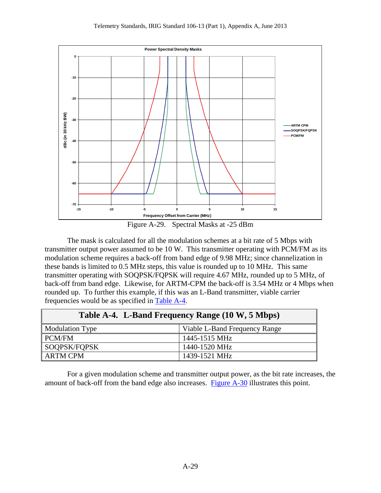

Figure A-29. Spectral Masks at -25 dBm

<span id="page-32-0"></span>The mask is calculated for all the modulation schemes at a bit rate of 5 Mbps with transmitter output power assumed to be 10 W. This transmitter operating with PCM/FM as its modulation scheme requires a back-off from band edge of 9.98 MHz; since channelization in these bands is limited to 0.5 MHz steps, this value is rounded up to 10 MHz. This same transmitter operating with SOQPSK/FQPSK will require 4.67 MHz, rounded up to 5 MHz, of back-off from band edge. Likewise, for ARTM-CPM the back-off is 3.54 MHz or 4 Mbps when rounded up. To further this example, if this was an L-Band transmitter, viable carrier frequencies would be as specified in [Table A-4.](#page-32-1)

<span id="page-32-1"></span>

| Table A-4. L-Band Frequency Range (10 W, 5 Mbps) |                               |
|--------------------------------------------------|-------------------------------|
| <b>Modulation Type</b>                           | Viable L-Band Frequency Range |
| <b>PCM/FM</b>                                    | 1445-1515 MHz                 |
| SOQPSK/FQPSK                                     | 1440-1520 MHz                 |
| ARTM CPM                                         | 1439-1521 MHz                 |

For a given modulation scheme and transmitter output power, as the bit rate increases, the amount of back-off from the band edge also increases. [Figure A-30](#page-33-0) illustrates this point.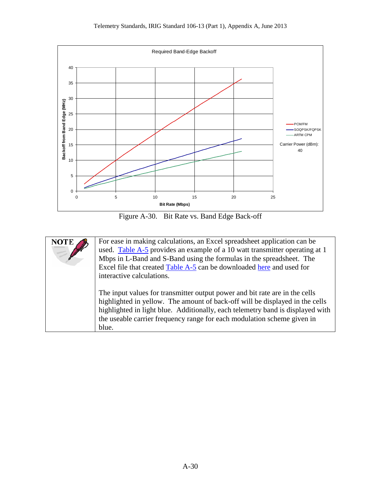

Figure A-30. Bit Rate vs. Band Edge Back-off

<span id="page-33-0"></span>

| <b>NOTE</b> | For ease in making calculations, an Excel spreads heet application can be<br>used. Table A-5 provides an example of a 10 watt transmitter operating at 1<br>Mbps in L-Band and S-Band using the formulas in the spreadsheet. The<br>Excel file that created Table A-5 can be downloaded here and used for<br>interactive calculations. |
|-------------|----------------------------------------------------------------------------------------------------------------------------------------------------------------------------------------------------------------------------------------------------------------------------------------------------------------------------------------|
|             | The input values for transmitter output power and bit rate are in the cells<br>highlighted in yellow. The amount of back-off will be displayed in the cells<br>highlighted in light blue. Additionally, each telemetry band is displayed with<br>the useable carrier frequency range for each modulation scheme given in<br>blue.      |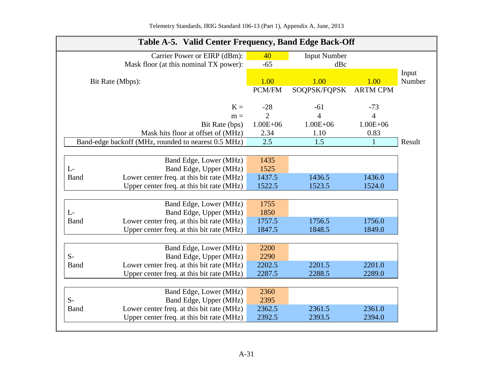<span id="page-34-0"></span>

| Table A-5. Valid Center Frequency, Band Edge Back-Off |                                           |                |                     |                 |        |
|-------------------------------------------------------|-------------------------------------------|----------------|---------------------|-----------------|--------|
|                                                       | Carrier Power or EIRP (dBm):              | 40             | <b>Input Number</b> |                 |        |
| Mask floor (at this nominal TX power):                |                                           | $-65$          | dBc                 |                 |        |
|                                                       |                                           |                |                     |                 | Input  |
| Bit Rate (Mbps):                                      |                                           | 1.00           | 1.00                | 1.00            | Number |
|                                                       |                                           | PCM/FM         | SOQPSK/FQPSK        | <b>ARTM CPM</b> |        |
|                                                       |                                           |                |                     |                 |        |
|                                                       | $K =$                                     | $-28$          | $-61$               | $-73$           |        |
|                                                       | $m =$                                     | $\overline{2}$ | $\overline{4}$      | $\overline{4}$  |        |
|                                                       | Bit Rate (bps)                            | $1.00E + 06$   | $1.00E + 06$        | $1.00E + 06$    |        |
|                                                       | Mask hits floor at offset of (MHz)        | 2.34           | 1.10                | 0.83            |        |
| Band-edge backoff (MHz, rounded to nearest 0.5 MHz)   |                                           | 2.5            | 1.5                 | $\mathbf{1}$    | Result |
|                                                       |                                           |                |                     |                 |        |
|                                                       | Band Edge, Lower (MHz)                    | 1435           |                     |                 |        |
| $L-$                                                  | Band Edge, Upper (MHz)                    | 1525           |                     |                 |        |
| Band                                                  | Lower center freq. at this bit rate (MHz) | 1437.5         | 1436.5              | 1436.0          |        |
|                                                       | Upper center freq. at this bit rate (MHz) | 1522.5         | 1523.5              | 1524.0          |        |
|                                                       |                                           |                |                     |                 |        |
|                                                       | Band Edge, Lower (MHz)                    | 1755           |                     |                 |        |
| $L-$                                                  | Band Edge, Upper (MHz)                    | 1850           |                     |                 |        |
| <b>Band</b>                                           | Lower center freq. at this bit rate (MHz) | 1757.5         | 1756.5              | 1756.0          |        |
|                                                       | Upper center freq. at this bit rate (MHz) | 1847.5         | 1848.5              | 1849.0          |        |
|                                                       |                                           |                |                     |                 |        |
|                                                       | Band Edge, Lower (MHz)                    | 2200           |                     |                 |        |
| $S-$                                                  | Band Edge, Upper (MHz)                    | 2290           |                     |                 |        |
| Band                                                  | Lower center freq. at this bit rate (MHz) | 2202.5         | 2201.5              | 2201.0          |        |
|                                                       | Upper center freq. at this bit rate (MHz) | 2287.5         | 2288.5              | 2289.0          |        |
|                                                       |                                           |                |                     |                 |        |
|                                                       | Band Edge, Lower (MHz)                    | 2360           |                     |                 |        |
| $S-$                                                  | Band Edge, Upper (MHz)                    | 2395           |                     |                 |        |
| <b>Band</b>                                           | Lower center freq. at this bit rate (MHz) | 2362.5         | 2361.5              | 2361.0          |        |
|                                                       | Upper center freq. at this bit rate (MHz) | 2392.5         | 2393.5              | 2394.0          |        |
|                                                       |                                           |                |                     |                 |        |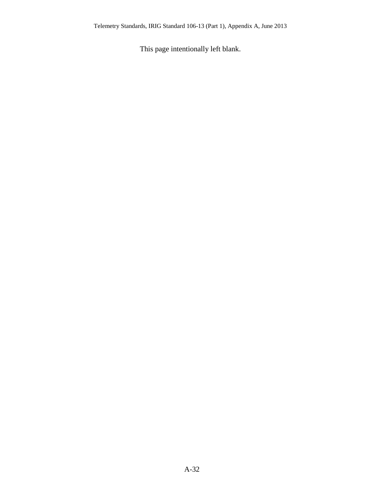This page intentionally left blank.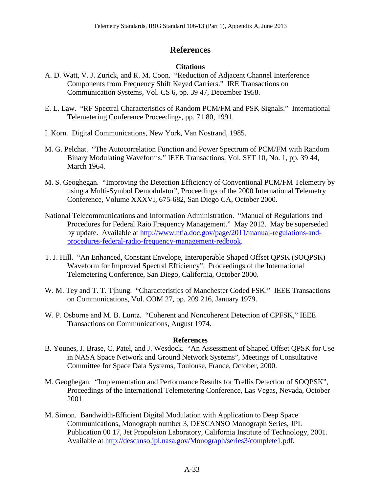# **References**

### <span id="page-36-0"></span>**Citations**

- A. D. Watt, V. J. Zurick, and R. M. Coon. "Reduction of Adjacent Channel Interference Components from Frequency Shift Keyed Carriers." IRE Transactions on Communication Systems, Vol. CS 6, pp. 39 47, December 1958.
- E. L. Law. "RF Spectral Characteristics of Random PCM/FM and PSK Signals." International Telemetering Conference Proceedings, pp. 71 80, 1991.
- I. Korn. Digital Communications, New York, Van Nostrand, 1985.
- M. G. Pelchat. "The Autocorrelation Function and Power Spectrum of PCM/FM with Random Binary Modulating Waveforms." IEEE Transactions, Vol. SET 10, No. 1, pp. 39 44, March 1964.
- M. S. Geoghegan. "Improving the Detection Efficiency of Conventional PCM/FM Telemetry by using a Multi-Symbol Demodulator", Proceedings of the 2000 International Telemetry Conference, Volume XXXVI, 675-682, San Diego CA, October 2000.
- National Telecommunications and Information Administration. "Manual of Regulations and Procedures for Federal Raio Frequency Management." May 2012. May be superseded by update. Available at [http://www.ntia.doc.gov/page/2011/manual-regulations-and](http://www.ntia.doc.gov/page/2011/manual-regulations-and-procedures-federal-radio-frequency-management-redbook)[procedures-federal-radio-frequency-management-redbook.](http://www.ntia.doc.gov/page/2011/manual-regulations-and-procedures-federal-radio-frequency-management-redbook)
- T. J. Hill. "An Enhanced, Constant Envelope, Interoperable Shaped Offset QPSK (SOQPSK) Waveform for Improved Spectral Efficiency". Proceedings of the International Telemetering Conference, San Diego, California, October 2000.
- W. M. Tey and T. T. Tjhung. "Characteristics of Manchester Coded FSK." IEEE Transactions on Communications, Vol. COM 27, pp. 209 216, January 1979.
- W. P. Osborne and M. B. Luntz. "Coherent and Noncoherent Detection of CPFSK," IEEE Transactions on Communications, August 1974.

#### **References**

- B. Younes, J. Brase, C. Patel, and J. Wesdock. "An Assessment of Shaped Offset QPSK for Use in NASA Space Network and Ground Network Systems", Meetings of Consultative Committee for Space Data Systems, Toulouse, France, October, 2000.
- M. Geoghegan. "Implementation and Performance Results for Trellis Detection of SOQPSK", Proceedings of the International Telemetering Conference, Las Vegas, Nevada, October 2001.
- M. Simon. Bandwidth-Efficient Digital Modulation with Application to Deep Space Communications, Monograph number 3, DESCANSO Monograph Series, JPL Publication 00 17, Jet Propulsion Laboratory, California Institute of Technology, 2001. Available at [http://descanso.jpl.nasa.gov/Monograph/series3/complete1.pdf.](http://descanso.jpl.nasa.gov/Monograph/series3/complete1.pdf)